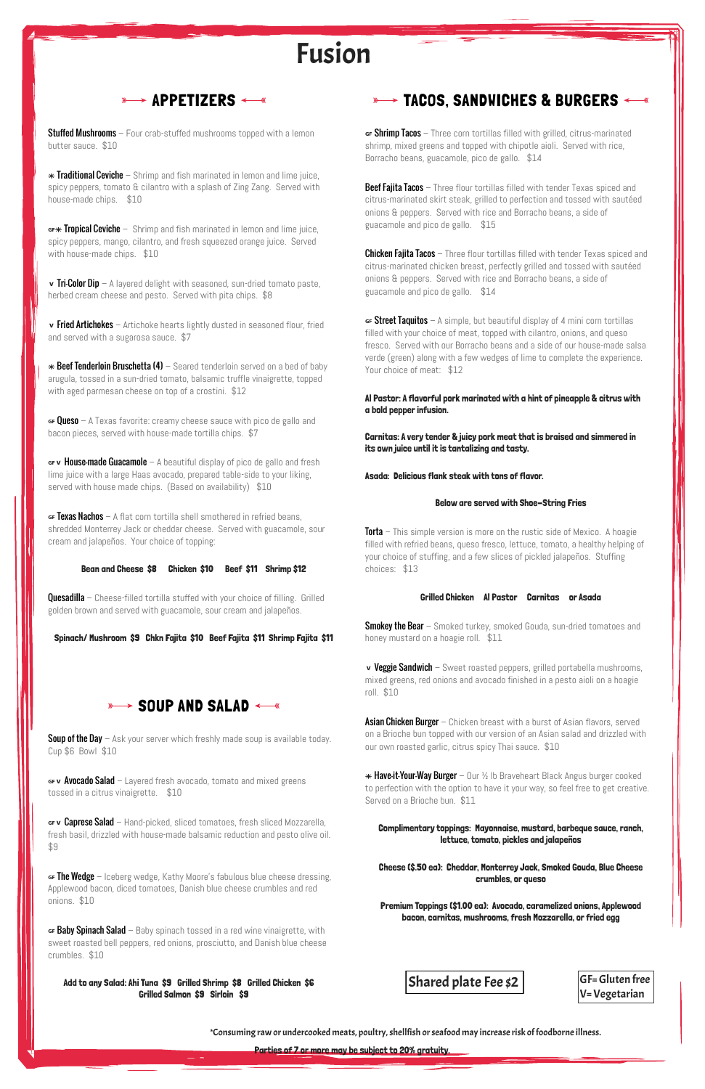**Stuffed Mushrooms** – Four crab-stuffed mushrooms topped with a lemon butter sauce. \$10

 $*$  Traditional Ceviche – Shrimp and fish marinated in lemon and lime juice, spicy peppers, tomato & cilantro with a splash of Zing Zang. Served with house-made chips. \$10

 $G^*$  Tropical Ceviche – Shrimp and fish marinated in lemon and lime juice, spicy peppers, mango, cilantro, and fresh squeezed orange juice. Served with house-made chips. \$10

 $\mathbf v$  Tri-Color Dip – A layered delight with seasoned, sun-dried tomato paste, herbed cream cheese and pesto. Served with pita chips. \$8

 $\mathbf v$  Fried Artichokes – Artichoke hearts lightly dusted in seasoned flour, fried and served with a sugarosa sauce. \$7

 $*$  Beef Tenderloin Bruschetta (4) – Seared tenderloin served on a bed of baby arugula, tossed in a sun-dried tomato, balsamic truffle vinaigrette, topped with aged parmesan cheese on top of a crostini. \$12

 $\epsilon$  Given – A Texas favorite: creamy cheese sauce with pico de gallo and bacon pieces, served with house-made tortilla chips. \$7

 $\mathsf{G}$  **. House-made Guacamole** – A beautiful display of pico de gallo and fresh lime juice with a large Haas avocado, prepared table-side to your liking, served with house made chips. (Based on availability) \$10

 $\epsilon$  Texas Nachos – A flat corn tortilla shell smothered in refried beans, shredded Monterrey Jack or cheddar cheese. Served with guacamole, sour cream and jalapeños. Your choice of topping:

**Quesadilla** – Cheese-filled tortilla stuffed with your choice of filling. Grilled golden brown and served with guacamole, sour cream and jalapeños.

**Soup of the Day** – Ask your server which freshly made soup is available today. Cup \$6 Bowl \$10

 $\mathsf{G}$  we Avocado Salad – Layered fresh avocado, tomato and mixed greens tossed in a citrus vinaigrette. \$10

## **WALLET TACOS, SANDWICHES & BURGERS**  $\leftarrow$  **\*\***

GF v Caprese Salad – Hand-picked, sliced tomatoes, fresh sliced Mozzarella, fresh basil, drizzled with house-made balsamic reduction and pesto olive oil. \$9

 $\epsilon$  The Wedge – Iceberg wedge, Kathy Moore's fabulous blue cheese dressing, Applewood bacon, diced tomatoes, Danish blue cheese crumbles and red onions. \$10

 $\epsilon$  **Baby Spinach Salad** – Baby spinach tossed in a red wine vinaigrette, with sweet roasted bell peppers, red onions, prosciutto, and Danish blue cheese crumbles. \$10

 $\epsilon$  **Shrimp Tacos** – Three corn tortillas filled with grilled, citrus-marinated shrimp, mixed greens and topped with chipotle aioli. Served with rice, Borracho beans, guacamole, pico de gallo. \$14

#### Bean and Cheese \$8 Chicken \$10 Beef \$11 Shrimp \$12

**Beef Fajita Tacos** – Three flour tortillas filled with tender Texas spiced and citrus-marinated skirt steak, grilled to perfection and tossed with sautéed onions & peppers. Served with rice and Borracho beans, a side of guacamole and pico de gallo. \$15

**Chicken Fajita Tacos** – Three flour tortillas filled with tender Texas spiced and citrus-marinated chicken breast, perfectly grilled and tossed with sautéed onions & peppers. Served with rice and Borracho beans, a side of guacamole and pico de gallo. \$14

 $\epsilon$  **Street Taquitos** – A simple, but beautiful display of 4 mini corn tortillas filled with your choice of meat, topped with cilantro, onions, and queso fresco. Served with our Borracho beans and a side of our house-made salsa verde (green) along with a few wedges of lime to complete the experience. Your choice of meat: \$12

Spinach/ Mushroom \$9 Chkn Fajita \$10 Beef Fajita \$11 Shrimp Fajita \$11

## $\longrightarrow$  SOUP AND SALAD  $\longleftarrow$

**Torta** – This simple version is more on the rustic side of Mexico. A hoagie filled with refried beans, queso fresco, lettuce, tomato, a healthy helping of your choice of stuffing, and a few slices of pickled jalapeños. Stuffing choices: \$13

**Smokey the Bear** – Smoked turkey, smoked Gouda, sun-dried tomatoes and honey mustard on a hoagie roll. \$11

v Veggie Sandwich – Sweet roasted peppers, grilled portabella mushrooms, mixed greens, red onions and avocado finished in a pesto aioli on a hoagie roll. \$10

**Asian Chicken Burger** – Chicken breast with a burst of Asian flavors, served on a Brioche bun topped with our version of an Asian salad and drizzled with our own roasted garlic, citrus spicy Thai sauce. \$10

 $\ast$  Have-it-Your-Way Burger – Our ½ Ib Braveheart Black Angus burger cooked to perfection with the option to have it your way, so feel free to get creative. Served on a Brioche bun. \$11

Add to any Salad: Ahi Tuna \$9 Grilled Shrimp \$8 Grilled Chicken \$6 Grilled Salmon \$9 Sirloin \$9

Premium Toppings (\$1.00 ea): Avocado, caramelized onions, Applewood bacon, carnitas, mushrooms, fresh Mozzarella, or fried egg

Al Pastor: A flavorful pork marinated with a hint of pineapple & citrus with a bold pepper infusion.

Carnitas: A very tender & juicy pork meat that is braised and simmered in its own juice until it is tantalizing and tasty.

Asada: Delicious flank steak with tons of flavor.

#### Below are served with Shoe-String Fries

### Grilled Chicken Al Pastor Carnitas or Asada

Complimentary toppings: Mayonnaise, mustard, barbeque sauce, ranch, lettuce, tomato, pickles and jalapeños

Cheese (\$.50 ea): Cheddar, Monterrey Jack, Smoked Gouda, Blue Cheese crumbles, or queso

Parties of 7 or more may be subject to 20% gratuity.

\*Consuming raw or undercooked meats, poultry, shellfish or seafood may increase risk of foodborne illness.

# Fusion

## $\longrightarrow$  APPETIZERS  $\longleftarrow$  «

GF= Gluten free V= Vegetarian

Shared plate Fee \$2